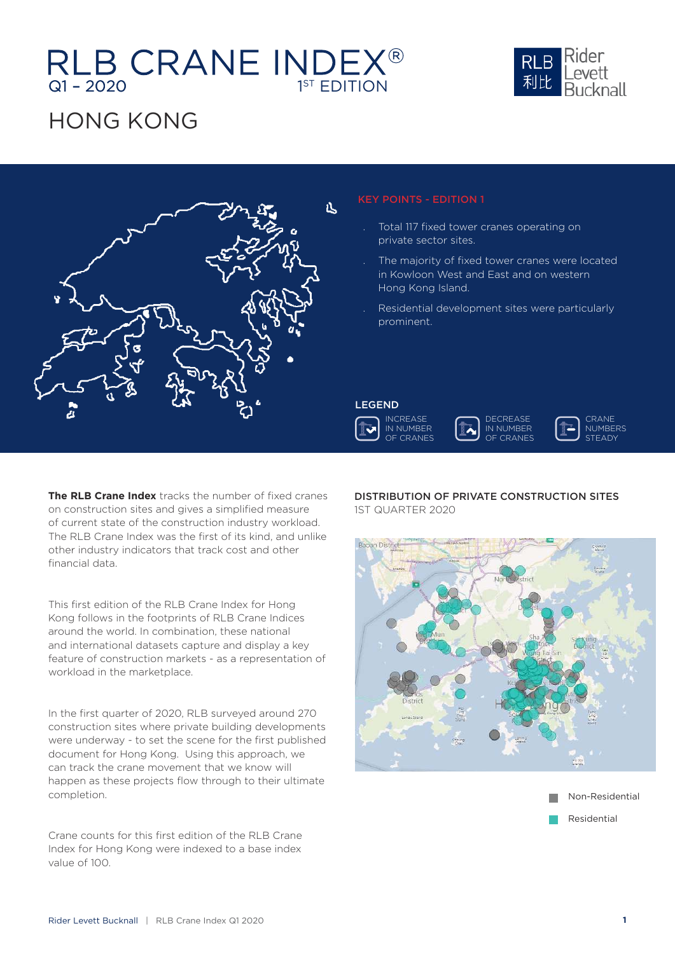## Q1 – 2020 1<sup>ST</sup> EDITION

## HONG KONG

**The RLB Crane Index** tracks the number of fixed cranes on construction sites and gives a simplified measure of current state of the construction industry workload. The RLB Crane Index was the first of its kind, and unlike other industry indicators that track cost and other financial data.

This first edition of the RLB Crane Index for Hong Kong follows in the footprints of RLB Crane Indices around the world. In combination, these national and international datasets capture and display a key feature of construction markets - as a representation of workload in the marketplace.

In the first quarter of 2020, RLB surveyed around 270 construction sites where private building developments were underway - to set the scene for the first published document for Hong Kong. Using this approach, we can track the crane movement that we know will happen as these projects flow through to their ultimate completion.

Crane counts for this first edition of the RLB Crane Index for Hong Kong were indexed to a base index value of 100.

### KEY POINTS - EDITION 1

- . Total 117 fixed tower cranes operating on private sector sites.
- The majority of fixed tower cranes were located in Kowloon West and East and on western Hong Kong Island.
- . Residential development sites were particularly prominent.

### DISTRIBUTION OF PRIVATE CONSTRUCTION SITES

1ST QUARTER 2020









几